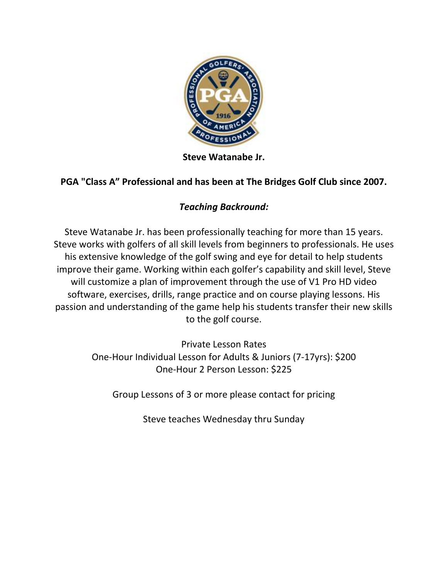

**Steve Watanabe Jr.**

## **PGA "Class A" Professional and has been at The Bridges Golf Club since 2007.**

## *Teaching Backround:*

Steve Watanabe Jr. has been professionally teaching for more than 15 years. Steve works with golfers of all skill levels from beginners to professionals. He uses his extensive knowledge of the golf swing and eye for detail to help students improve their game. Working within each golfer's capability and skill level, Steve will customize a plan of improvement through the use of V1 Pro HD video software, exercises, drills, range practice and on course playing lessons. His passion and understanding of the game help his students transfer their new skills to the golf course.

> Private Lesson Rates One-Hour Individual Lesson for Adults & Juniors (7-17yrs): \$200 One-Hour 2 Person Lesson: \$225

Group Lessons of 3 or more please contact for pricing

Steve teaches Wednesday thru Sunday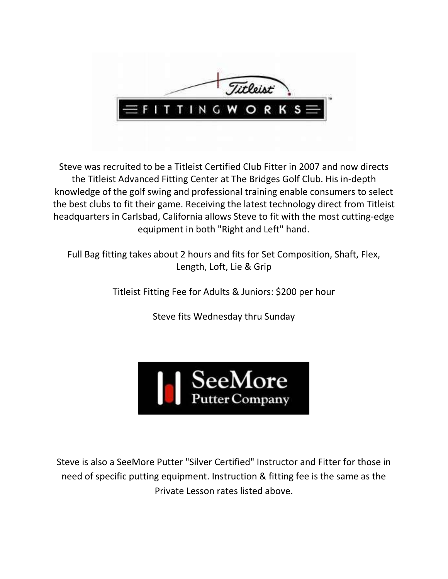

Steve was recruited to be a Titleist Certified Club Fitter in 2007 and now directs the Titleist Advanced Fitting Center at The Bridges Golf Club. His in-depth knowledge of the golf swing and professional training enable consumers to select the best clubs to fit their game. Receiving the latest technology direct from Titleist headquarters in Carlsbad, California allows Steve to fit with the most cutting-edge equipment in both "Right and Left" hand.

Full Bag fitting takes about 2 hours and fits for Set Composition, Shaft, Flex, Length, Loft, Lie & Grip

Titleist Fitting Fee for Adults & Juniors: \$200 per hour

Steve fits Wednesday thru Sunday



Steve is also a SeeMore Putter "Silver Certified" Instructor and Fitter for those in need of specific putting equipment. Instruction & fitting fee is the same as the Private Lesson rates listed above.